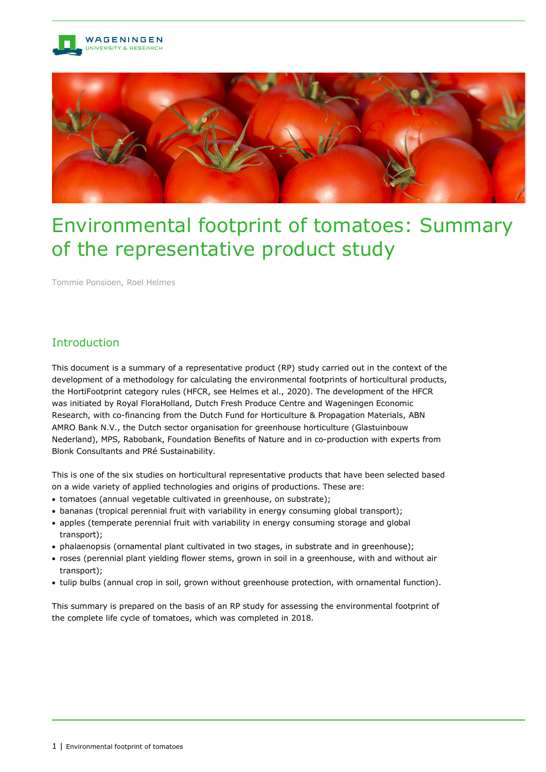



# Environmental footprint of tomatoes: Summary of the representative product study

Tommie Ponsioen, Roel Helmes

## Introduction

This document is a summary of a representative product (RP) study carried out in the context of the development of a methodology for calculating the environmental footprints of horticultural products, the HortiFootprint category rules (HFCR, see Helmes et al., 2020). The development of the HFCR was initiated by Royal FloraHolland, Dutch Fresh Produce Centre and Wageningen Economic Research, with co-financing from the Dutch Fund for Horticulture & Propagation Materials, ABN AMRO Bank N.V., the Dutch sector organisation for greenhouse horticulture (Glastuinbouw Nederland), MPS, Rabobank, Foundation Benefits of Nature and in co-production with experts from Blonk Consultants and PRé Sustainability.

This is one of the six studies on horticultural representative products that have been selected based on a wide variety of applied technologies and origins of productions. These are:

- tomatoes (annual vegetable cultivated in greenhouse, on substrate);
- bananas (tropical perennial fruit with variability in energy consuming global transport);
- apples (temperate perennial fruit with variability in energy consuming storage and global transport);
- phalaenopsis (ornamental plant cultivated in two stages, in substrate and in greenhouse);
- roses (perennial plant yielding flower stems, grown in soil in a greenhouse, with and without air transport);
- tulip bulbs (annual crop in soil, grown without greenhouse protection, with ornamental function).

This summary is prepared on the basis of an RP study for assessing the environmental footprint of the complete life cycle of tomatoes, which was completed in 2018.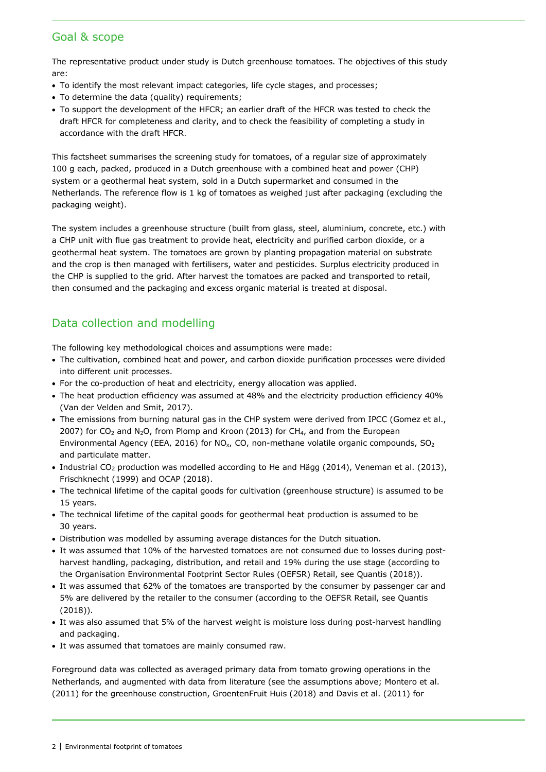## Goal & scope

The representative product under study is Dutch greenhouse tomatoes. The objectives of this study are:

- To identify the most relevant impact categories, life cycle stages, and processes;
- To determine the data (quality) requirements;
- To support the development of the HFCR; an earlier draft of the HFCR was tested to check the draft HFCR for completeness and clarity, and to check the feasibility of completing a study in accordance with the draft HFCR.

This factsheet summarises the screening study for tomatoes, of a regular size of approximately 100 g each, packed, produced in a Dutch greenhouse with a combined heat and power (CHP) system or a geothermal heat system, sold in a Dutch supermarket and consumed in the Netherlands. The reference flow is 1 kg of tomatoes as weighed just after packaging (excluding the packaging weight).

The system includes a greenhouse structure (built from glass, steel, aluminium, concrete, etc.) with a CHP unit with flue gas treatment to provide heat, electricity and purified carbon dioxide, or a geothermal heat system. The tomatoes are grown by planting propagation material on substrate and the crop is then managed with fertilisers, water and pesticides. Surplus electricity produced in the CHP is supplied to the grid. After harvest the tomatoes are packed and transported to retail, then consumed and the packaging and excess organic material is treated at disposal.

## Data collection and modelling

The following key methodological choices and assumptions were made:

- The cultivation, combined heat and power, and carbon dioxide purification processes were divided into different unit processes.
- For the co-production of heat and electricity, energy allocation was applied.
- The heat production efficiency was assumed at 48% and the electricity production efficiency 40% (Van der Velden and Smit, 2017).
- The emissions from burning natural gas in the CHP system were derived from IPCC (Gomez et al., 2007) for CO<sub>2</sub> and N<sub>2</sub>O, from Plomp and Kroon (2013) for CH<sub>4</sub>, and from the European Environmental Agency (EEA, 2016) for NO<sub>x</sub>, CO, non-methane volatile organic compounds, SO<sub>2</sub> and particulate matter.
- Industrial CO<sub>2</sub> production was modelled according to He and Hägg (2014), Veneman et al. (2013), Frischknecht (1999) and OCAP (2018).
- The technical lifetime of the capital goods for cultivation (greenhouse structure) is assumed to be 15 years.
- The technical lifetime of the capital goods for geothermal heat production is assumed to be 30 years.
- Distribution was modelled by assuming average distances for the Dutch situation.
- It was assumed that 10% of the harvested tomatoes are not consumed due to losses during postharvest handling, packaging, distribution, and retail and 19% during the use stage (according to the Organisation Environmental Footprint Sector Rules (OEFSR) Retail, see Quantis (2018)).
- It was assumed that 62% of the tomatoes are transported by the consumer by passenger car and 5% are delivered by the retailer to the consumer (according to the OEFSR Retail, see Quantis (2018)).
- It was also assumed that 5% of the harvest weight is moisture loss during post-harvest handling and packaging.
- It was assumed that tomatoes are mainly consumed raw.

Foreground data was collected as averaged primary data from tomato growing operations in the Netherlands, and augmented with data from literature (see the assumptions above; Montero et al. (2011) for the greenhouse construction, GroentenFruit Huis (2018) and Davis et al. (2011) for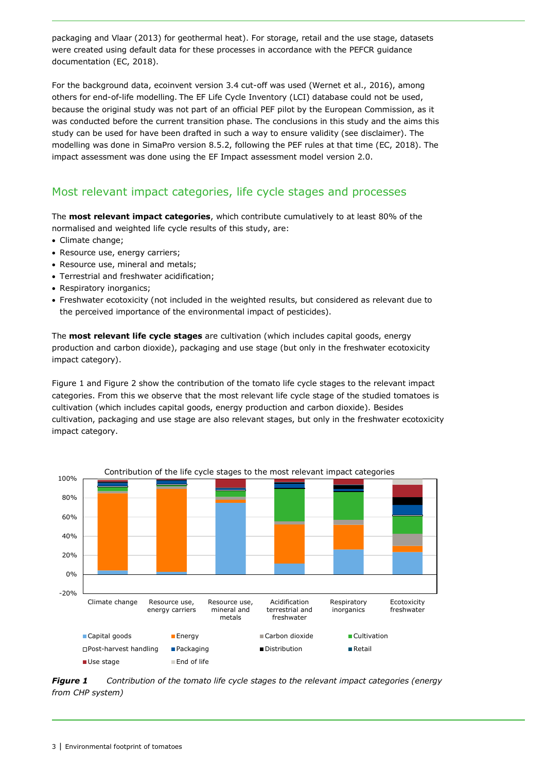packaging and Vlaar (2013) for geothermal heat). For storage, retail and the use stage, datasets were created using default data for these processes in accordance with the PEFCR guidance documentation (EC, 2018).

For the background data, ecoinvent version 3.4 cut-off was used (Wernet et al., 2016), among others for end-of-life modelling. The EF Life Cycle Inventory (LCI) database could not be used, because the original study was not part of an official PEF pilot by the European Commission, as it was conducted before the current transition phase. The conclusions in this study and the aims this study can be used for have been drafted in such a way to ensure validity (see disclaimer). The modelling was done in SimaPro version 8.5.2, following the PEF rules at that time (EC, 2018). The impact assessment was done using the EF Impact assessment model version 2.0.

## Most relevant impact categories, life cycle stages and processes

The **most relevant impact categories**, which contribute cumulatively to at least 80% of the normalised and weighted life cycle results of this study, are:

- Climate change;
- Resource use, energy carriers;
- Resource use, mineral and metals;
- Terrestrial and freshwater acidification;
- Respiratory inorganics:
- Freshwater ecotoxicity (not included in the weighted results, but considered as relevant due to the perceived importance of the environmental impact of pesticides).

The **most relevant life cycle stages** are cultivation (which includes capital goods, energy production and carbon dioxide), packaging and use stage (but only in the freshwater ecotoxicity impact category).

[Figure](#page-2-0) 1 and [Figure](#page-3-0) 2 show the contribution of the tomato life cycle stages to the relevant impact categories. From this we observe that the most relevant life cycle stage of the studied tomatoes is cultivation (which includes capital goods, energy production and carbon dioxide). Besides cultivation, packaging and use stage are also relevant stages, but only in the freshwater ecotoxicity impact category.



<span id="page-2-0"></span>*Figure 1 Contribution of the tomato life cycle stages to the relevant impact categories (energy from CHP system)*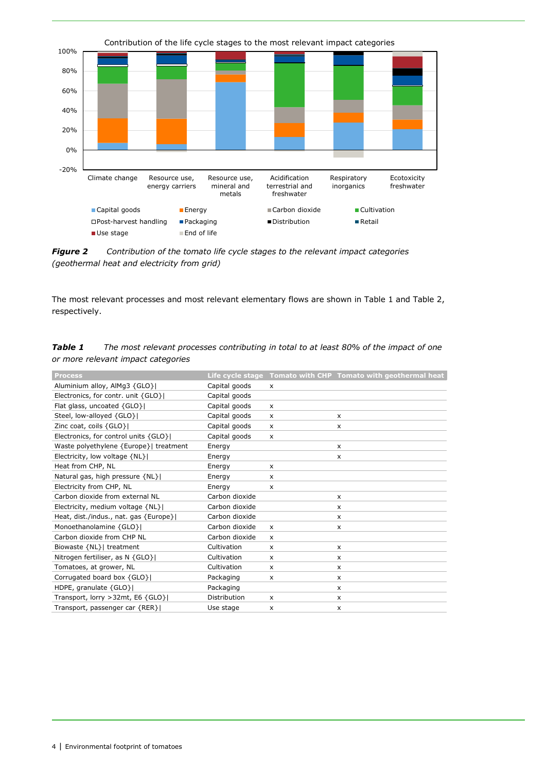<span id="page-3-0"></span>

*Figure 2 Contribution of the tomato life cycle stages to the relevant impact categories (geothermal heat and electricity from grid)*

The most relevant processes and most relevant elementary flows are shown in [Table](#page-3-1) 1 and [Table](#page-3-2) 2, respectively.

<span id="page-3-1"></span>

| <b>Table 1</b> | The most relevant processes contributing in total to at least 80% of the impact of one |
|----------------|----------------------------------------------------------------------------------------|
|                | or more relevant impact categories                                                     |

<span id="page-3-2"></span>

| Process                                |                |                           | Life cycle stage Tomato with CHP Tomato with geothermal heat |
|----------------------------------------|----------------|---------------------------|--------------------------------------------------------------|
| Aluminium alloy, AlMg3 {GLO}           | Capital goods  | $\times$                  |                                                              |
| Electronics, for contr. unit {GLO}     | Capital goods  |                           |                                                              |
| Flat glass, uncoated {GLO}             | Capital goods  | $\times$                  |                                                              |
| Steel, low-alloyed {GLO}               | Capital goods  | X                         | X                                                            |
| Zinc coat, coils {GLO}                 | Capital goods  | X                         | $\mathsf{x}$                                                 |
| Electronics, for control units {GLO}   | Capital goods  | $\times$                  |                                                              |
| Waste polyethylene {Europe}  treatment | Energy         |                           | $\times$                                                     |
| Electricity, low voltage {NL}          | Energy         |                           | $\times$                                                     |
| Heat from CHP, NL                      | Energy         | x                         |                                                              |
| Natural gas, high pressure {NL}        | Energy         | X                         |                                                              |
| Electricity from CHP, NL               | Energy         | x                         |                                                              |
| Carbon dioxide from external NL        | Carbon dioxide |                           | x                                                            |
| Electricity, medium voltage {NL}       | Carbon dioxide |                           | X                                                            |
| Heat, dist./indus., nat. gas {Europe}  | Carbon dioxide |                           | x                                                            |
| Monoethanolamine {GLO}                 | Carbon dioxide | X                         | $\boldsymbol{\mathsf{x}}$                                    |
| Carbon dioxide from CHP NL             | Carbon dioxide | $\boldsymbol{\mathsf{x}}$ |                                                              |
| Biowaste {NL}  treatment               | Cultivation    | X                         | x                                                            |
| Nitrogen fertiliser, as N {GLO}        | Cultivation    | x                         | $\mathsf{x}$                                                 |
| Tomatoes, at grower, NL                | Cultivation    | X                         | x                                                            |
| Corrugated board box {GLO}             | Packaging      | $\times$                  | $\mathsf{x}$                                                 |
| HDPE, granulate $\{GLO\}$              | Packaging      |                           | X                                                            |
| Transport, lorry > 32mt, E6 {GLO}      | Distribution   | X                         | X                                                            |
| Transport, passenger car {RER}         | Use stage      | $\boldsymbol{\mathsf{x}}$ | X                                                            |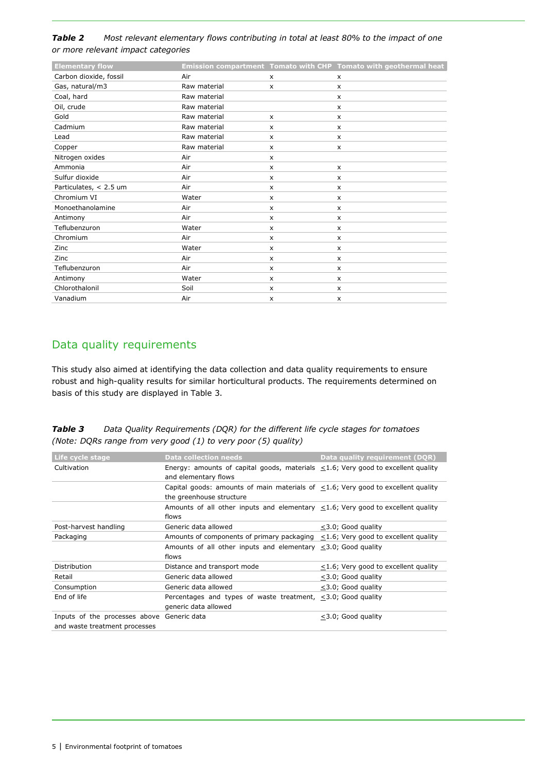#### *Table 2 Most relevant elementary flows contributing in total at least 80% to the impact of one or more relevant impact categories*

| <b>Elementary flow</b> |              |                           | Emission compartment Tomato with CHP Tomato with geothermal heat |
|------------------------|--------------|---------------------------|------------------------------------------------------------------|
| Carbon dioxide, fossil | Air          | $\boldsymbol{\mathsf{x}}$ | $\times$                                                         |
| Gas, natural/m3        | Raw material | $\mathsf{x}$              | $\boldsymbol{\mathsf{x}}$                                        |
| Coal, hard             | Raw material |                           | X                                                                |
| Oil, crude             | Raw material |                           | $\boldsymbol{\mathsf{x}}$                                        |
| Gold                   | Raw material | $\boldsymbol{\mathsf{x}}$ | X                                                                |
| Cadmium                | Raw material | $\boldsymbol{\mathsf{x}}$ | $\boldsymbol{\mathsf{x}}$                                        |
| Lead                   | Raw material | X                         | $\boldsymbol{\mathsf{x}}$                                        |
| Copper                 | Raw material | $\boldsymbol{\mathsf{x}}$ | $\boldsymbol{\mathsf{x}}$                                        |
| Nitrogen oxides        | Air          | X                         |                                                                  |
| Ammonia                | Air          | X                         | $\boldsymbol{\mathsf{x}}$                                        |
| Sulfur dioxide         | Air          | X                         | $\boldsymbol{\mathsf{x}}$                                        |
| Particulates, < 2.5 um | Air          | X                         | $\boldsymbol{\mathsf{x}}$                                        |
| Chromium VI            | Water        | $\mathsf{x}$              | $\boldsymbol{\mathsf{x}}$                                        |
| Monoethanolamine       | Air          | X                         | $\boldsymbol{\mathsf{x}}$                                        |
| Antimony               | Air          | X                         | $\boldsymbol{\mathsf{x}}$                                        |
| Teflubenzuron          | Water        | x                         | X                                                                |
| Chromium               | Air          | X                         | $\boldsymbol{\mathsf{x}}$                                        |
| Zinc                   | Water        | $\boldsymbol{\mathsf{x}}$ | x                                                                |
| Zinc                   | Air          | $\boldsymbol{\mathsf{x}}$ | x                                                                |
| Teflubenzuron          | Air          | X                         | $\mathsf{x}$                                                     |
| Antimony               | Water        | $\mathsf{x}$              | $\boldsymbol{\mathsf{x}}$                                        |
| Chlorothalonil         | Soil         | X                         | $\boldsymbol{\mathsf{x}}$                                        |
| Vanadium               | Air          | $\times$                  | $\boldsymbol{\mathsf{x}}$                                        |
|                        |              |                           |                                                                  |

## Data quality requirements

This study also aimed at identifying the data collection and data quality requirements to ensure robust and high-quality results for similar horticultural products. The requirements determined on basis of this study are displayed in Table 3.

| Table 3 | Data Quality Requirements (DQR) for the different life cycle stages for tomatoes |
|---------|----------------------------------------------------------------------------------|
|         | (Note: DQRs range from very good (1) to very poor (5) quality)                   |

| Life cycle stage                                                            | <b>Data collection needs</b>                                                                                       | Data quality requirement (DQR)             |
|-----------------------------------------------------------------------------|--------------------------------------------------------------------------------------------------------------------|--------------------------------------------|
| Cultivation                                                                 | Energy: amounts of capital goods, materials $\leq$ 1.6; Very good to excellent quality<br>and elementary flows     |                                            |
|                                                                             | Capital goods: amounts of main materials of $\leq$ 1.6; Very good to excellent quality<br>the greenhouse structure |                                            |
|                                                                             | Amounts of all other inputs and elementary $\leq$ 1.6; Very good to excellent quality<br>flows                     |                                            |
| Post-harvest handling                                                       | Generic data allowed                                                                                               | <3.0; Good quality                         |
| Packaging                                                                   | Amounts of components of primary packaging $\leq$ 1.6; Very good to excellent quality                              |                                            |
|                                                                             | Amounts of all other inputs and elementary $\leq$ 3.0; Good quality<br>flows                                       |                                            |
| Distribution                                                                | Distance and transport mode                                                                                        | $\leq$ 1.6; Very good to excellent quality |
| Retail                                                                      | Generic data allowed                                                                                               | <3.0; Good quality                         |
| Consumption                                                                 | Generic data allowed                                                                                               | $<$ 3.0; Good quality                      |
| End of life                                                                 | Percentages and types of waste treatment, <3.0; Good quality<br>generic data allowed                               |                                            |
| Inputs of the processes above Generic data<br>and waste treatment processes |                                                                                                                    | $<$ 3.0; Good quality                      |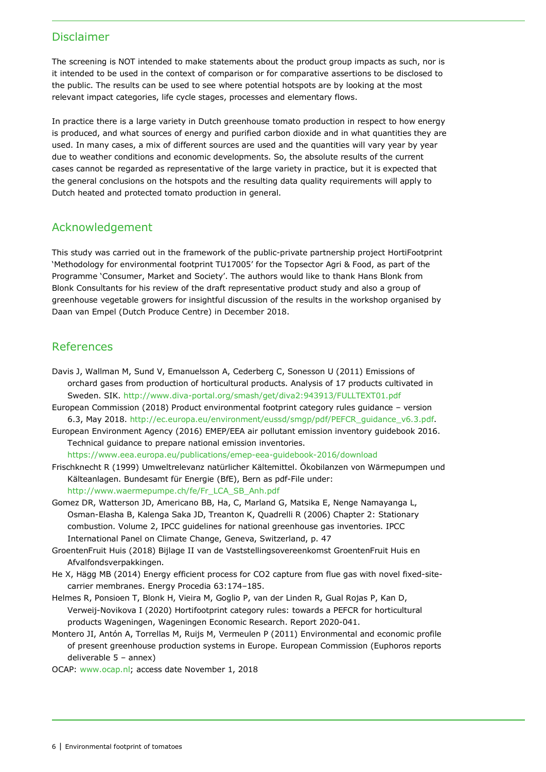#### Disclaimer

The screening is NOT intended to make statements about the product group impacts as such, nor is it intended to be used in the context of comparison or for comparative assertions to be disclosed to the public. The results can be used to see where potential hotspots are by looking at the most relevant impact categories, life cycle stages, processes and elementary flows.

In practice there is a large variety in Dutch greenhouse tomato production in respect to how energy is produced, and what sources of energy and purified carbon dioxide and in what quantities they are used. In many cases, a mix of different sources are used and the quantities will vary year by year due to weather conditions and economic developments. So, the absolute results of the current cases cannot be regarded as representative of the large variety in practice, but it is expected that the general conclusions on the hotspots and the resulting data quality requirements will apply to Dutch heated and protected tomato production in general.

## Acknowledgement

This study was carried out in the framework of the public-private partnership project HortiFootprint 'Methodology for environmental footprint TU17005' for the Topsector Agri & Food, as part of the Programme 'Consumer, Market and Society'. The authors would like to thank Hans Blonk from Blonk Consultants for his review of the draft representative product study and also a group of greenhouse vegetable growers for insightful discussion of the results in the workshop organised by Daan van Empel (Dutch Produce Centre) in December 2018.

## References

- Davis J, Wallman M, Sund V, Emanuelsson A, Cederberg C, Sonesson U (2011) Emissions of orchard gases from production of horticultural products. Analysis of 17 products cultivated in Sweden. SIK.<http://www.diva-portal.org/smash/get/diva2:943913/FULLTEXT01.pdf>
- European Commission (2018) Product environmental footprint category rules guidance version 6.3, May 2018. [http://ec.europa.eu/environment/eussd/smgp/pdf/PEFCR\\_guidance\\_v6.3.pdf.](http://ec.europa.eu/environment/eussd/smgp/pdf/PEFCR_guidance_v6.3.pdf)
- European Environment Agency (2016) EMEP/EEA air pollutant emission inventory guidebook 2016. Technical guidance to prepare national emission inventories.

<https://www.eea.europa.eu/publications/emep-eea-guidebook-2016/download>

- Frischknecht R (1999) Umweltrelevanz natürlicher Kältemittel. Ökobilanzen von Wärmepumpen und Kälteanlagen. Bundesamt für Energie (BfE), Bern as pdf-File under: [http://www.waermepumpe.ch/fe/Fr\\_LCA\\_SB\\_Anh.pdf](http://www.waermepumpe.ch/fe/Fr_LCA_SB_Anh.pdf)
- Gomez DR, Watterson JD, Americano BB, Ha, C, Marland G, Matsika E, Nenge Namayanga L, Osman-Elasha B, Kalenga Saka JD, Treanton K, Quadrelli R (2006) Chapter 2: Stationary combustion. Volume 2, IPCC guidelines for national greenhouse gas inventories. IPCC International Panel on Climate Change, Geneva, Switzerland, p. 47
- GroentenFruit Huis (2018) Bijlage II van de Vaststellingsovereenkomst GroentenFruit Huis en Afvalfondsverpakkingen.
- He X, Hägg MB (2014) Energy efficient process for CO2 capture from flue gas with novel fixed-sitecarrier membranes. Energy Procedia 63:174–185.
- Helmes R, Ponsioen T, Blonk H, Vieira M, Goglio P, van der Linden R, Gual Rojas P, Kan D, Verweij-Novikova I (2020) Hortifootprint category rules: towards a PEFCR for horticultural products Wageningen, Wageningen Economic Research. Report 2020-041.
- Montero JI, Antón A, Torrellas M, Ruijs M, Vermeulen P (2011) Environmental and economic profile of present greenhouse production systems in Europe. European Commission (Euphoros reports deliverable 5 – annex)
- OCAP: [www.ocap.nl;](http://www.ocap.nl/) access date November 1, 2018